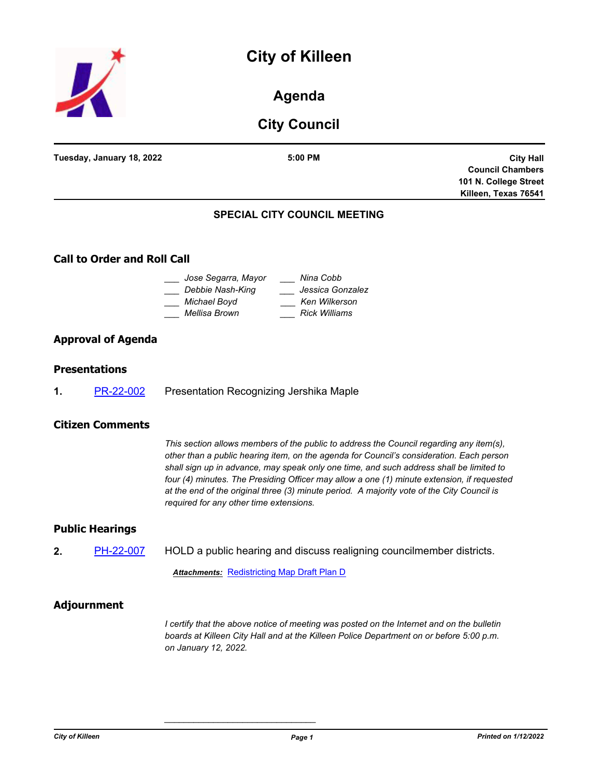## **City of Killeen**



### **Agenda**

## **City Council**

| Tuesday, January 18, 2022 | $5:00$ PM                           | <b>City Hall</b>        |
|---------------------------|-------------------------------------|-------------------------|
|                           |                                     | <b>Council Chambers</b> |
|                           |                                     | 101 N. College Street   |
|                           |                                     | Killeen, Texas 76541    |
|                           | <b>SPECIAL CITY COUNCIL MEETING</b> |                         |

# **Call to Order and Roll Call**

| Jose Segarra, Mayor<br>Debbie Nash-King | Nina Cobb<br>Jessica Gonzalez         |
|-----------------------------------------|---------------------------------------|
| Michael Boyd<br>Mellisa Brown           | Ken Wilkerson<br><b>Rick Williams</b> |

#### **Approval of Agenda**

#### **Presentations**

**1.** [PR-22-002](http://killeen.legistar.com/gateway.aspx?m=l&id=/matter.aspx?key=5926) Presentation Recognizing Jershika Maple

#### **Citizen Comments**

*This section allows members of the public to address the Council regarding any item(s), other than a public hearing item, on the agenda for Council's consideration. Each person shall sign up in advance, may speak only one time, and such address shall be limited to four (4) minutes. The Presiding Officer may allow a one (1) minute extension, if requested at the end of the original three (3) minute period. A majority vote of the City Council is required for any other time extensions.*

#### **Public Hearings**

**2.** [PH-22-007](http://killeen.legistar.com/gateway.aspx?m=l&id=/matter.aspx?key=5924) HOLD a public hearing and discuss realigning councilmember districts.

**Attachments: [Redistricting Map Draft Plan D](http://killeen.legistar.com/gateway.aspx?M=F&ID=73a5a53a-c078-46d0-abb6-51c29017b490.pdf)** 

*\_\_\_\_\_\_\_\_\_\_\_\_\_\_\_\_\_\_\_\_\_\_\_\_\_\_\_\_\_\_\_*

#### **Adjournment**

*I* certify that the above notice of meeting was posted on the Internet and on the bulletin *boards at Killeen City Hall and at the Killeen Police Department on or before 5:00 p.m. on January 12, 2022.*